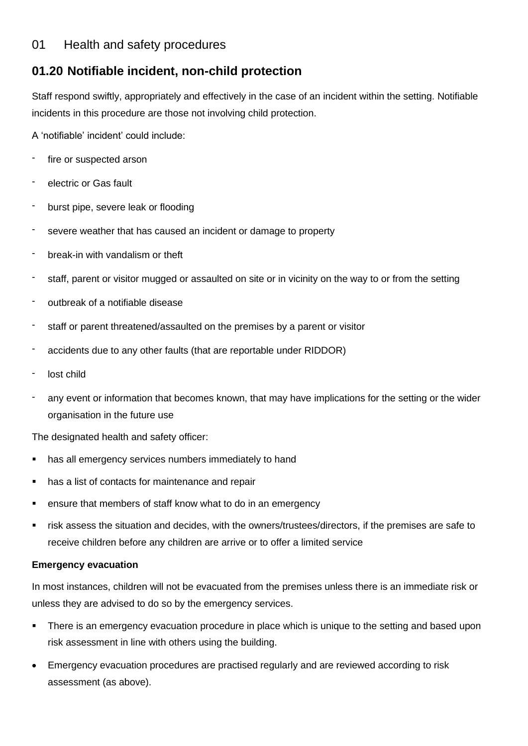## 01 Health and safety procedures

# **01.20 Notifiable incident, non-child protection**

Staff respond swiftly, appropriately and effectively in the case of an incident within the setting. Notifiable incidents in this procedure are those not involving child protection.

A 'notifiable' incident' could include:

- fire or suspected arson
- electric or Gas fault
- burst pipe, severe leak or flooding
- severe weather that has caused an incident or damage to property
- break-in with vandalism or theft
- staff, parent or visitor mugged or assaulted on site or in vicinity on the way to or from the setting
- outbreak of a notifiable disease
- staff or parent threatened/assaulted on the premises by a parent or visitor
- accidents due to any other faults (that are reportable under RIDDOR)
- lost child
- any event or information that becomes known, that may have implications for the setting or the wider organisation in the future use

The designated health and safety officer:

- has all emergency services numbers immediately to hand
- has a list of contacts for maintenance and repair
- ensure that members of staff know what to do in an emergency
- risk assess the situation and decides, with the owners/trustees/directors, if the premises are safe to receive children before any children are arrive or to offer a limited service

#### **Emergency evacuation**

In most instances, children will not be evacuated from the premises unless there is an immediate risk or unless they are advised to do so by the emergency services.

- There is an emergency evacuation procedure in place which is unique to the setting and based upon risk assessment in line with others using the building.
- Emergency evacuation procedures are practised regularly and are reviewed according to risk assessment (as above).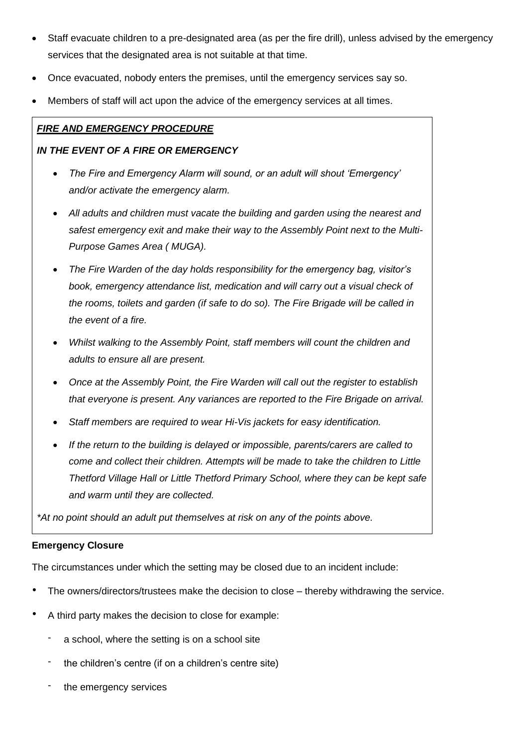- Staff evacuate children to a pre-designated area (as per the fire drill), unless advised by the emergency services that the designated area is not suitable at that time.
- Once evacuated, nobody enters the premises, until the emergency services say so.
- Members of staff will act upon the advice of the emergency services at all times.

## *FIRE AND EMERGENCY PROCEDURE*

### *IN THE EVENT OF A FIRE OR EMERGENCY*

- *The Fire and Emergency Alarm will sound, or an adult will shout 'Emergency' and/or activate the emergency alarm.*
- *All adults and children must vacate the building and garden using the nearest and safest emergency exit and make their way to the Assembly Point next to the Multi-Purpose Games Area ( MUGA).*
- *The Fire Warden of the day holds responsibility for the emergency bag, visitor's book, emergency attendance list, medication and will carry out a visual check of the rooms, toilets and garden (if safe to do so). The Fire Brigade will be called in the event of a fire.*
- *Whilst walking to the Assembly Point, staff members will count the children and adults to ensure all are present.*
- *Once at the Assembly Point, the Fire Warden will call out the register to establish that everyone is present. Any variances are reported to the Fire Brigade on arrival.*
- *Staff members are required to wear Hi-Vis jackets for easy identification.*
- *If the return to the building is delayed or impossible, parents/carers are called to come and collect their children. Attempts will be made to take the children to Little Thetford Village Hall or Little Thetford Primary School, where they can be kept safe and warm until they are collected.*

*\*At no point should an adult put themselves at risk on any of the points above.*

#### **Emergency Closure**

The circumstances under which the setting may be closed due to an incident include:

- The owners/directors/trustees make the decision to close thereby withdrawing the service.
- A third party makes the decision to close for example:
	- a school, where the setting is on a school site
	- the children's centre (if on a children's centre site)
	- the emergency services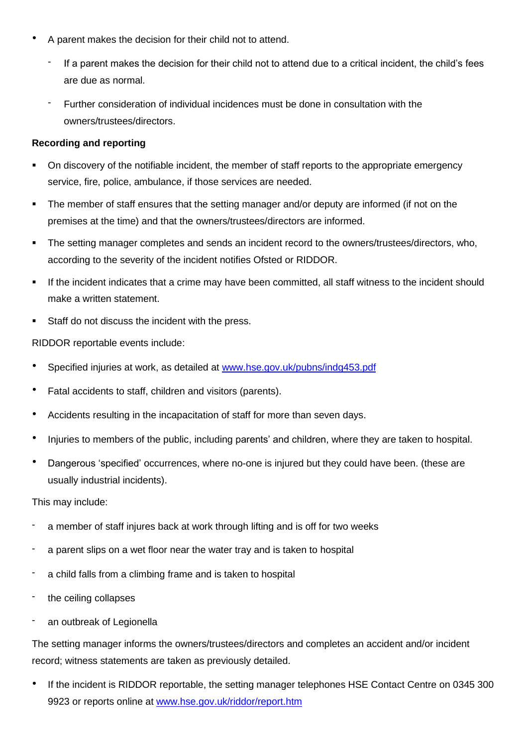- A parent makes the decision for their child not to attend.
	- If a parent makes the decision for their child not to attend due to a critical incident, the child's fees are due as normal.
	- Further consideration of individual incidences must be done in consultation with the owners/trustees/directors.

## **Recording and reporting**

- On discovery of the notifiable incident, the member of staff reports to the appropriate emergency service, fire, police, ambulance, if those services are needed.
- The member of staff ensures that the setting manager and/or deputy are informed (if not on the premises at the time) and that the owners/trustees/directors are informed.
- The setting manager completes and sends an incident record to the owners/trustees/directors, who, according to the severity of the incident notifies Ofsted or RIDDOR.
- If the incident indicates that a crime may have been committed, all staff witness to the incident should make a written statement.
- Staff do not discuss the incident with the press.

RIDDOR reportable events include:

- Specified injuries at work, as detailed at [www.hse.gov.uk/pubns/indg453.pdf](http://www.hse.gov.uk/pubns/indg453.pdf)
- Fatal accidents to staff, children and visitors (parents).
- Accidents resulting in the incapacitation of staff for more than seven days.
- Injuries to members of the public, including parents' and children, where they are taken to hospital.
- Dangerous 'specified' occurrences, where no-one is injured but they could have been. (these are usually industrial incidents).

This may include:

- a member of staff injures back at work through lifting and is off for two weeks
- a parent slips on a wet floor near the water tray and is taken to hospital
- a child falls from a climbing frame and is taken to hospital
- the ceiling collapses
- an outbreak of Legionella

The setting manager informs the owners/trustees/directors and completes an accident and/or incident record; witness statements are taken as previously detailed.

If the incident is RIDDOR reportable, the setting manager telephones HSE Contact Centre on 0345 300 9923 or reports online at [www.hse.gov.uk/riddor/report.htm](http://www.hse.gov.uk/riddor/report.htm)